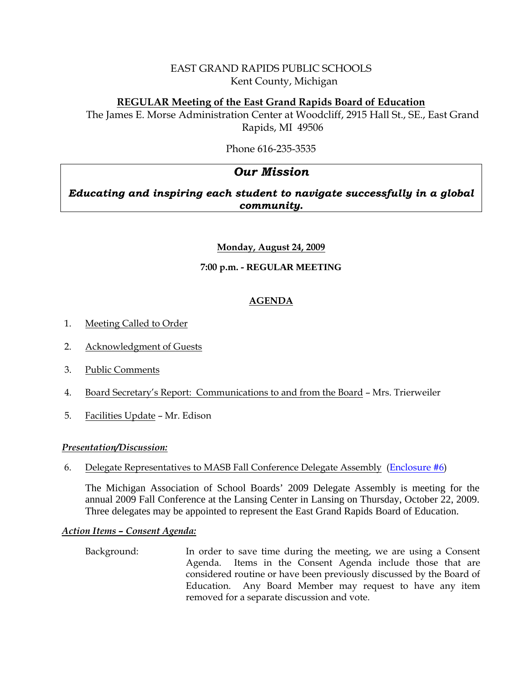# EAST GRAND RAPIDS PUBLIC SCHOOLS Kent County, Michigan

# **REGULAR Meeting of the East Grand Rapids Board of Education**

The James E. Morse Administration Center at Woodcliff, 2915 Hall St., SE., East Grand Rapids, MI 49506

Phone 616-235-3535

# *Our Mission*

*Educating and inspiring each student to navigate successfully in a global community.*

# **Monday, August 24, 2009**

# **7:00 p.m. - REGULAR MEETING**

# **AGENDA**

- 1. Meeting Called to Order
- 2. Acknowledgment of Guests
- 3. Public Comments
- 4. Board Secretary's Report: Communications to and from the Board Mrs. Trierweiler
- 5. Facilities Update Mr. Edison

## *Presentation/Discussion:*

## 6. Delegate Representatives to MASB Fall Conference Delegate Assembly ([Enclosure #6\)](http://www.egrps.org/district/boardofed/Enclosures/082409/Enc6.pdf)

The Michigan Association of School Boards' 2009 Delegate Assembly is meeting for the annual 2009 Fall Conference at the Lansing Center in Lansing on Thursday, October 22, 2009. Three delegates may be appointed to represent the East Grand Rapids Board of Education.

## *Action Items – Consent Agenda:*

 Background: In order to save time during the meeting, we are using a Consent Agenda. Items in the Consent Agenda include those that are considered routine or have been previously discussed by the Board of Education. Any Board Member may request to have any item removed for a separate discussion and vote.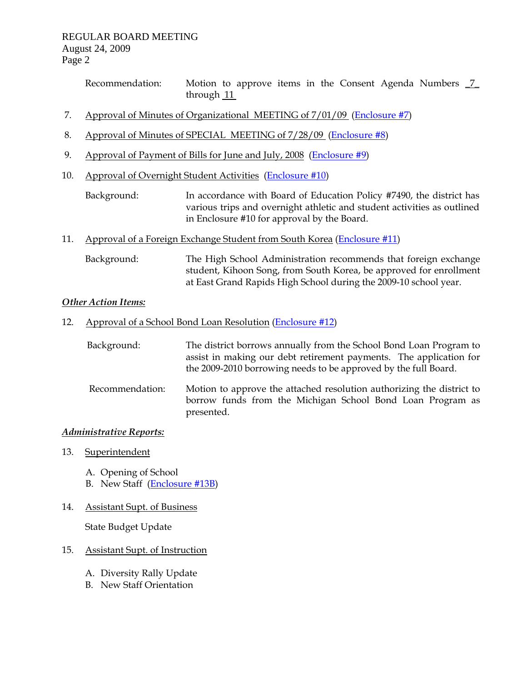Recommendation: Motion to approve items in the Consent Agenda Numbers  $\frac{7}{ }$ through 11

- 7. Approval of Minutes of Organizational MEETING of 7/01/09 [\(Enclosure #7](http://www.egrps.org/district/boardofed/Enclosures/082409/Enc7.pdf))
- 8. Approval of Minutes of SPECIAL MEETING of 7/28/09 ([Enclosure #8\)](http://www.egrps.org/district/boardofed/Enclosures/082409/Enc8.pdf)
- 9. Approval of Payment of Bills for June and July, 2008 ([Enclosure #9\)](http://www.egrps.org/district/boardofed/Enclosures/082409/Enc9.pdf)
- 10. Approval of Overnight Student Activities [\(Enclosure #10\)](http://www.egrps.org/district/boardofed/Enclosures/082409/Enc10.pdf)
	- Background: In accordance with Board of Education Policy #7490, the district has various trips and overnight athletic and student activities as outlined in Enclosure #10 for approval by the Board.
- 11. Approval of a Foreign Exchange Student from South Korea [\(Enclosure #11\)](http://www.egrps.org/district/boardofed/Enclosures/082409/Enc11.pdf)
	- Background: The High School Administration recommends that foreign exchange student, Kihoon Song, from South Korea, be approved for enrollment at East Grand Rapids High School during the 2009-10 school year.

#### *Other Action Items:*

12. Approval of a School Bond Loan Resolution ([Enclosure #12](http://www.egrps.org/district/boardofed/Enclosures/082409/Enc12.pdf))

| Background: | The district borrows annually from the School Bond Loan Program to |
|-------------|--------------------------------------------------------------------|
|             | assist in making our debt retirement payments. The application for |
|             | the 2009-2010 borrowing needs to be approved by the full Board.    |

Recommendation: Motion to approve the attached resolution authorizing the district to borrow funds from the Michigan School Bond Loan Program as presented.

#### *Administrative Reports:*

- 13. Superintendent
	- A. Opening of School
	- B. New Staff ([Enclosure #13B\)](http://www.egrps.org/district/boardofed/Enclosures/082409/Enc13B.pdf)
- 14. Assistant Supt. of Business

State Budget Update

#### 15. Assistant Supt. of Instruction

- A. Diversity Rally Update
- B. New Staff Orientation